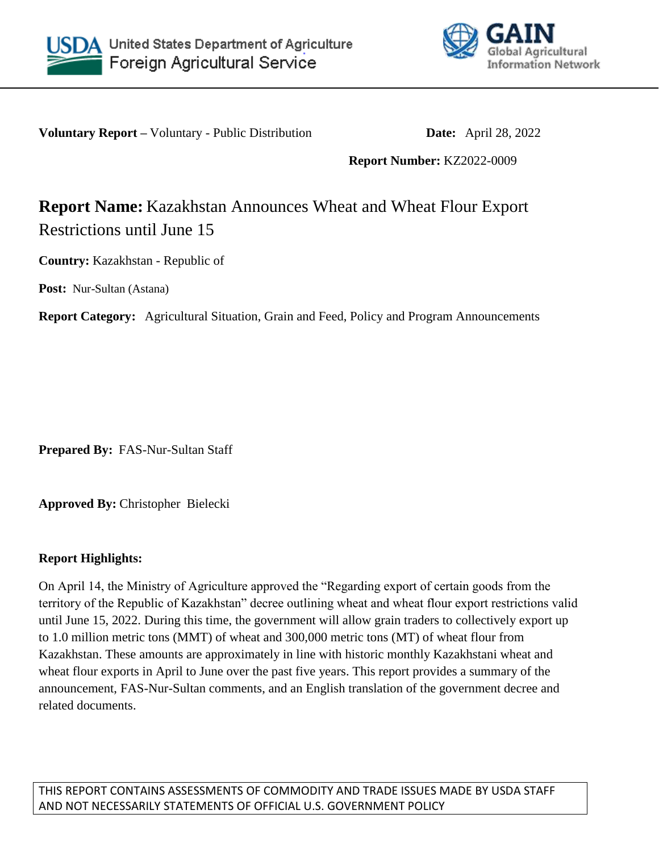



**Voluntary Report –** Voluntary - Public Distribution **Date:** April 28, 2022

**Report Number:** KZ2022-0009

# **Report Name:** Kazakhstan Announces Wheat and Wheat Flour Export Restrictions until June 15

**Country:** Kazakhstan - Republic of

**Post:** Nur-Sultan (Astana)

**Report Category:** Agricultural Situation, Grain and Feed, Policy and Program Announcements

**Prepared By:** FAS-Nur-Sultan Staff

**Approved By:** Christopher Bielecki

## **Report Highlights:**

On April 14, the Ministry of Agriculture approved the "Regarding export of certain goods from the territory of the Republic of Kazakhstan" decree outlining wheat and wheat flour export restrictions valid until June 15, 2022. During this time, the government will allow grain traders to collectively export up to 1.0 million metric tons (MMT) of wheat and 300,000 metric tons (MT) of wheat flour from Kazakhstan. These amounts are approximately in line with historic monthly Kazakhstani wheat and wheat flour exports in April to June over the past five years. This report provides a summary of the announcement, FAS-Nur-Sultan comments, and an English translation of the government decree and related documents.

THIS REPORT CONTAINS ASSESSMENTS OF COMMODITY AND TRADE ISSUES MADE BY USDA STAFF AND NOT NECESSARILY STATEMENTS OF OFFICIAL U.S. GOVERNMENT POLICY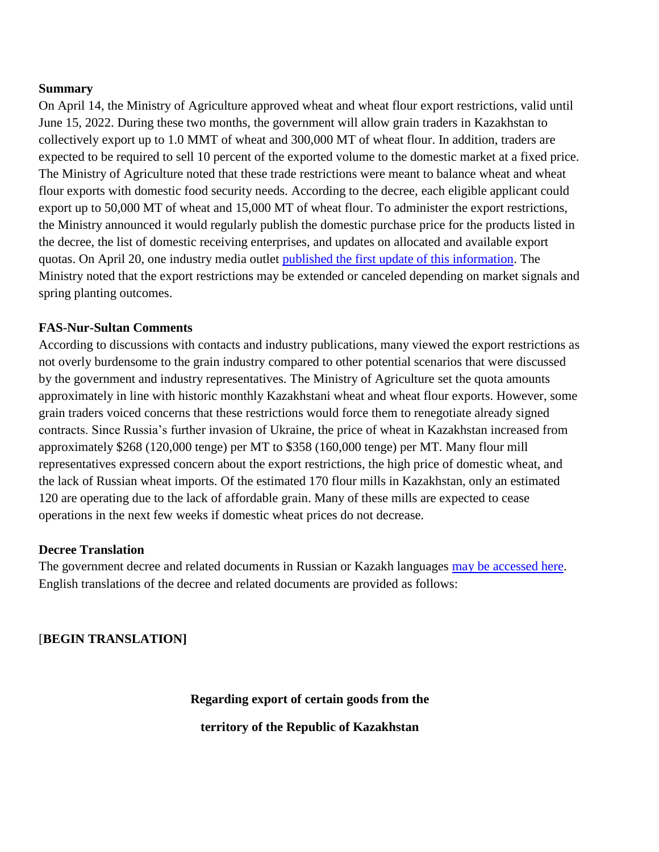#### **Summary**

On April 14, the Ministry of Agriculture approved wheat and wheat flour export restrictions, valid until June 15, 2022. During these two months, the government will allow grain traders in Kazakhstan to collectively export up to 1.0 MMT of wheat and 300,000 MT of wheat flour. In addition, traders are expected to be required to sell 10 percent of the exported volume to the domestic market at a fixed price. The Ministry of Agriculture noted that these trade restrictions were meant to balance wheat and wheat flour exports with domestic food security needs. According to the decree, each eligible applicant could export up to 50,000 MT of wheat and 15,000 MT of wheat flour. To administer the export restrictions, the Ministry announced it would regularly publish the domestic purchase price for the products listed in the decree, the list of domestic receiving enterprises, and updates on allocated and available export quotas. On April 20, one industry media outlet [published the first update of this information.](https://eldala.kz/novosti/ehlevatory/9165-prodkorporaciya-ustanovila-cenu-pokupki-pshenicy-u-treyderov) The Ministry noted that the export restrictions may be extended or canceled depending on market signals and spring planting outcomes.

### **FAS-Nur-Sultan Comments**

According to discussions with contacts and industry publications, many viewed the export restrictions as not overly burdensome to the grain industry compared to other potential scenarios that were discussed by the government and industry representatives. The Ministry of Agriculture set the quota amounts approximately in line with historic monthly Kazakhstani wheat and wheat flour exports. However, some grain traders voiced concerns that these restrictions would force them to renegotiate already signed contracts. Since Russia's further invasion of Ukraine, the price of wheat in Kazakhstan increased from approximately \$268 (120,000 tenge) per MT to \$358 (160,000 tenge) per MT. Many flour mill representatives expressed concern about the export restrictions, the high price of domestic wheat, and the lack of Russian wheat imports. Of the estimated 170 flour mills in Kazakhstan, only an estimated 120 are operating due to the lack of affordable grain. Many of these mills are expected to cease operations in the next few weeks if domestic wheat prices do not decrease.

#### **Decree Translation**

The government decree and related documents in Russian or Kazakh languages [may be accessed here.](https://legalacts.egov.kz/npa/view?id=14059648) English translations of the decree and related documents are provided as follows:

[**BEGIN TRANSLATION]**

**Regarding export of certain goods from the**

**territory of the Republic of Kazakhstan**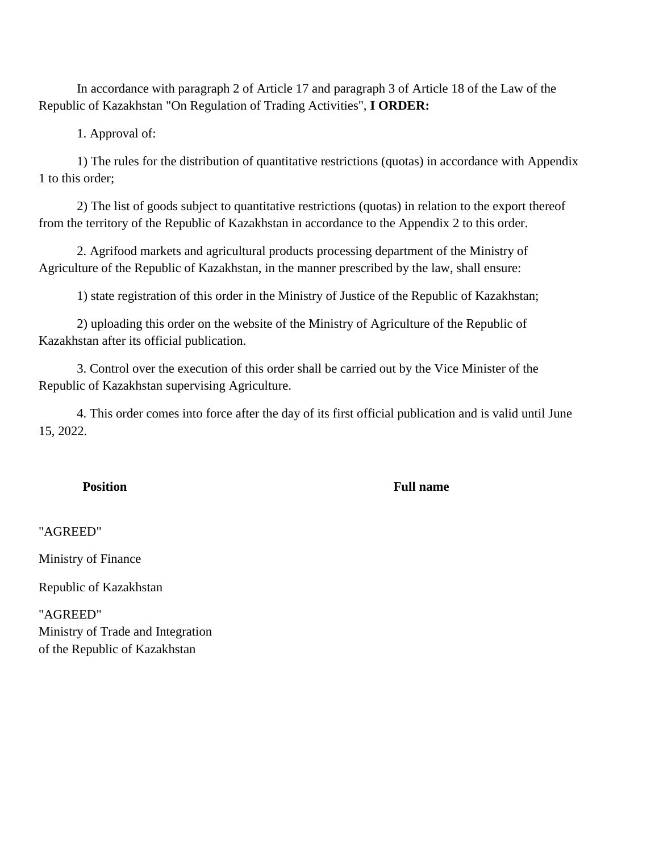In accordance with paragraph 2 of Article 17 and paragraph 3 of Article 18 of the Law of the Republic of Kazakhstan "On Regulation of Trading Activities", **I ORDER:**

1. Approval of:

1) The rules for the distribution of quantitative restrictions (quotas) in accordance with Appendix 1 to this order;

2) The list of goods subject to quantitative restrictions (quotas) in relation to the export thereof from the territory of the Republic of Kazakhstan in accordance to the Appendix 2 to this order.

2. Agrifood markets and agricultural products processing department of the Ministry of Agriculture of the Republic of Kazakhstan, in the manner prescribed by the law, shall ensure:

1) state registration of this order in the Ministry of Justice of the Republic of Kazakhstan;

2) uploading this order on the website of the Ministry of Agriculture of the Republic of Kazakhstan after its official publication.

3. Control over the execution of this order shall be carried out by the Vice Minister of the Republic of Kazakhstan supervising Agriculture.

4. This order comes into force after the day of its first official publication and is valid until June 15, 2022.

#### **Position Full name**

"AGREED"

Ministry of Finance

Republic of Kazakhstan

"AGREED" Ministry of Trade and Integration of the Republic of Kazakhstan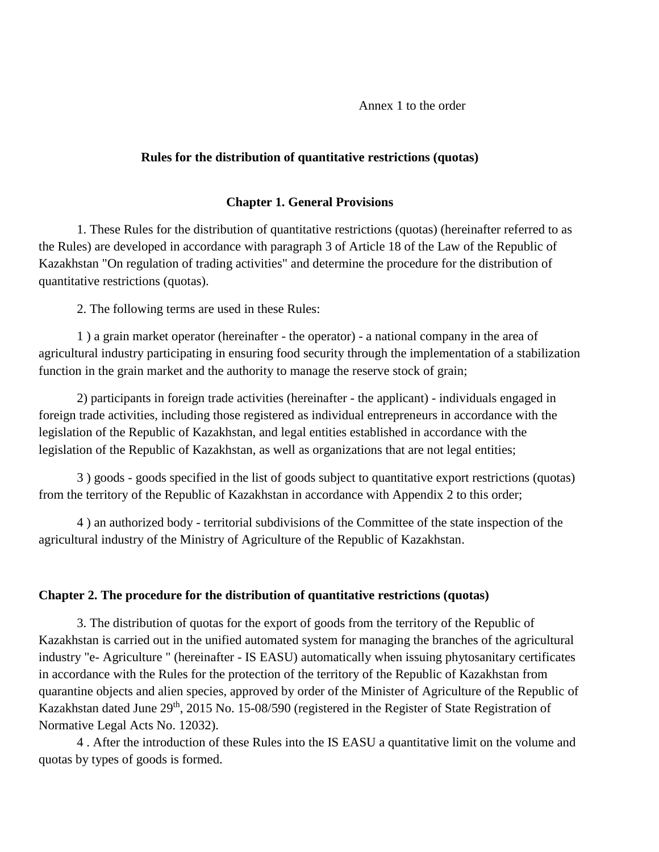Annex 1 to the order

#### **Rules for the distribution of quantitative restrictions (quotas)**

#### **Chapter 1. General Provisions**

1. These Rules for the distribution of quantitative restrictions (quotas) (hereinafter referred to as the Rules) are developed in accordance with paragraph 3 of Article 18 of the Law of the Republic of Kazakhstan "On regulation of trading activities" and determine the procedure for the distribution of quantitative restrictions (quotas).

2. The following terms are used in these Rules:

1 ) a grain market operator (hereinafter - the operator) - a national company in the area of agricultural industry participating in ensuring food security through the implementation of a stabilization function in the grain market and the authority to manage the reserve stock of grain;

2) participants in foreign trade activities (hereinafter - the applicant) - individuals engaged in foreign trade activities, including those registered as individual entrepreneurs in accordance with the legislation of the Republic of Kazakhstan, and legal entities established in accordance with the legislation of the Republic of Kazakhstan, as well as organizations that are not legal entities;

3 ) goods - goods specified in the list of goods subject to quantitative export restrictions (quotas) from the territory of the Republic of Kazakhstan in accordance with Appendix 2 to this order;

4 ) an authorized body - territorial subdivisions of the Committee of the state inspection of the agricultural industry of the Ministry of Agriculture of the Republic of Kazakhstan.

#### **Chapter 2. The procedure for the distribution of quantitative restrictions (quotas)**

3. The distribution of quotas for the export of goods from the territory of the Republic of Kazakhstan is carried out in the unified automated system for managing the branches of the agricultural industry "e- Agriculture " (hereinafter - IS EASU) automatically when issuing phytosanitary certificates in accordance with the Rules for the protection of the territory of the Republic of Kazakhstan from quarantine objects and alien species, approved by order of the Minister of Agriculture of the Republic of Kazakhstan dated June 29<sup>th</sup>, 2015 No. 15-08/590 (registered in the Register of State Registration of Normative Legal Acts No. 12032).

4 . After the introduction of these Rules into the IS EASU a quantitative limit on the volume and quotas by types of goods is formed.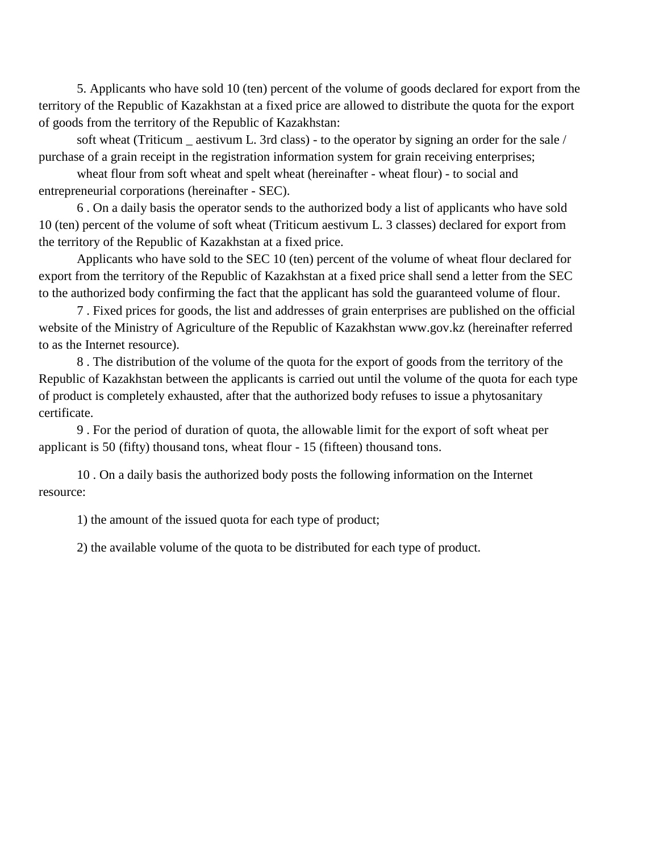5. Applicants who have sold 10 (ten) percent of the volume of goods declared for export from the territory of the Republic of Kazakhstan at a fixed price are allowed to distribute the quota for the export of goods from the territory of the Republic of Kazakhstan:

soft wheat (Triticum \_ aestivum L. 3rd class) - to the operator by signing an order for the sale / purchase of a grain receipt in the registration information system for grain receiving enterprises;

wheat flour from soft wheat and spelt wheat (hereinafter - wheat flour) - to social and entrepreneurial corporations (hereinafter - SEC).

6 . On a daily basis the operator sends to the authorized body a list of applicants who have sold 10 (ten) percent of the volume of soft wheat (Triticum aestivum L. 3 classes) declared for export from the territory of the Republic of Kazakhstan at a fixed price.

Applicants who have sold to the SEC 10 (ten) percent of the volume of wheat flour declared for export from the territory of the Republic of Kazakhstan at a fixed price shall send a letter from the SEC to the authorized body confirming the fact that the applicant has sold the guaranteed volume of flour.

7 . Fixed prices for goods, the list and addresses of grain enterprises are published on the official website of the Ministry of Agriculture of the Republic of Kazakhstan www.gov.kz (hereinafter referred to as the Internet resource).

8 . The distribution of the volume of the quota for the export of goods from the territory of the Republic of Kazakhstan between the applicants is carried out until the volume of the quota for each type of product is completely exhausted, after that the authorized body refuses to issue a phytosanitary certificate.

9 . For the period of duration of quota, the allowable limit for the export of soft wheat per applicant is 50 (fifty) thousand tons, wheat flour - 15 (fifteen) thousand tons.

10 . On a daily basis the authorized body posts the following information on the Internet resource:

1) the amount of the issued quota for each type of product;

2) the available volume of the quota to be distributed for each type of product.